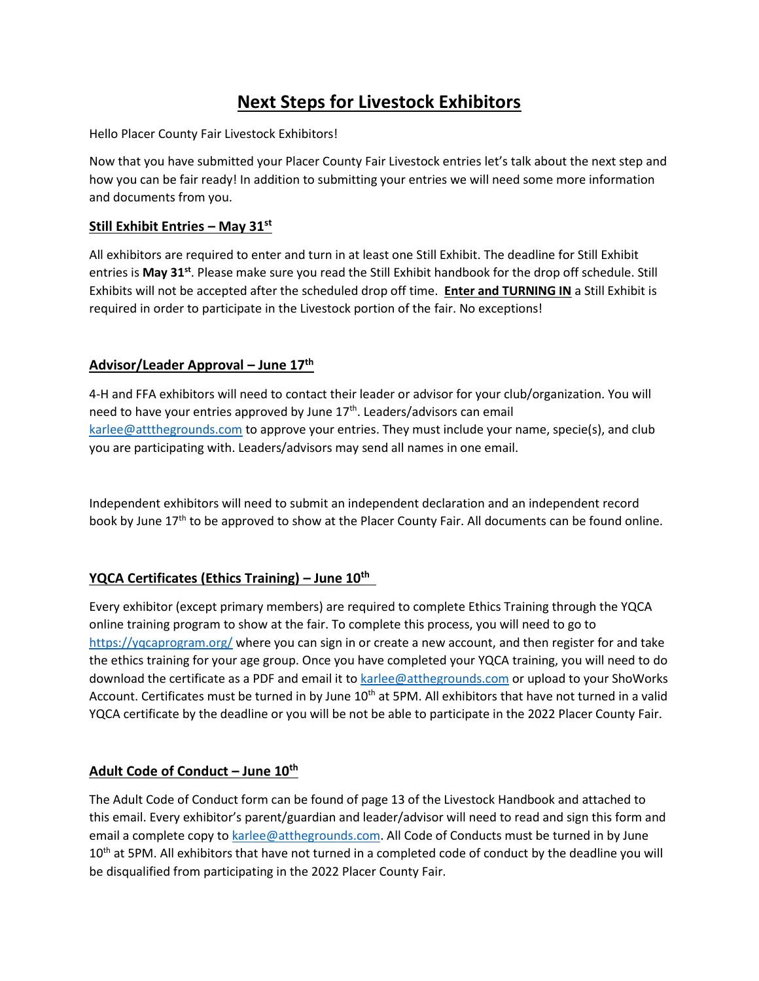# **Next Steps for Livestock Exhibitors**

Hello Placer County Fair Livestock Exhibitors!

Now that you have submitted your Placer County Fair Livestock entries let's talk about the next step and how you can be fair ready! In addition to submitting your entries we will need some more information and documents from you.

#### **Still Exhibit Entries – May 31st**

All exhibitors are required to enter and turn in at least one Still Exhibit. The deadline for Still Exhibit entries is **May 31st** . Please make sure you read the Still Exhibit handbook for the drop off schedule. Still Exhibits will not be accepted after the scheduled drop off time. **Enter and TURNING IN** a Still Exhibit is required in order to participate in the Livestock portion of the fair. No exceptions!

#### **Advisor/Leader Approval – June 17th**

4-H and FFA exhibitors will need to contact their leader or advisor for your club/organization. You will need to have your entries approved by June 17<sup>th</sup>. Leaders/advisors can email [karlee@attthegrounds.com](mailto:karlee@attthegrounds.com) to approve your entries. They must include your name, specie(s), and club you are participating with. Leaders/advisors may send all names in one email.

Independent exhibitors will need to submit an independent declaration and an independent record book by June 17<sup>th</sup> to be approved to show at the Placer County Fair. All documents can be found online.

## **YQCA Certificates (Ethics Training) – June 10th**

Every exhibitor (except primary members) are required to complete Ethics Training through the YQCA online training program to show at the fair. To complete this process, you will need to go to <https://yqcaprogram.org/> where you can sign in or create a new account, and then register for and take the ethics training for your age group. Once you have completed your YQCA training, you will need to do download the certificate as a PDF and email it to [karlee@atthegrounds.com](mailto:karlee@atthegrounds.com) or upload to your ShoWorks Account. Certificates must be turned in by June 10<sup>th</sup> at 5PM. All exhibitors that have not turned in a valid YQCA certificate by the deadline or you will be not be able to participate in the 2022 Placer County Fair.

## **Adult Code of Conduct – June 10th**

The Adult Code of Conduct form can be found of page 13 of the Livestock Handbook and attached to this email. Every exhibitor's parent/guardian and leader/advisor will need to read and sign this form and email a complete copy to [karlee@atthegrounds.com.](mailto:karlee@atthegrounds.com) All Code of Conducts must be turned in by June 10<sup>th</sup> at 5PM. All exhibitors that have not turned in a completed code of conduct by the deadline you will be disqualified from participating in the 2022 Placer County Fair.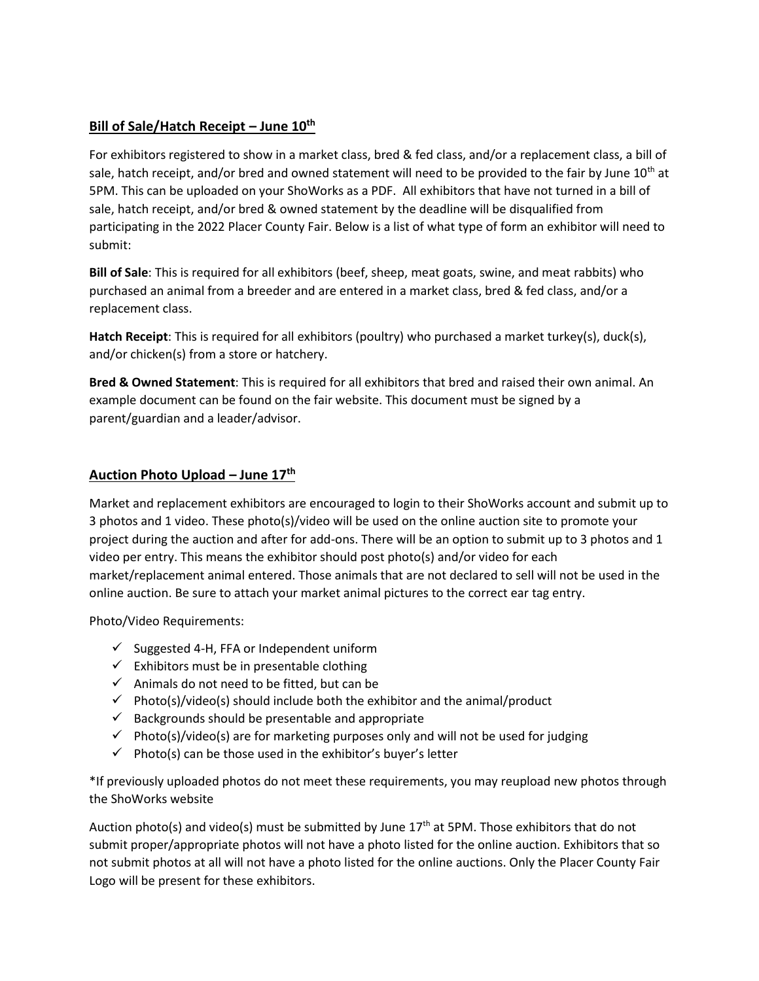## **Bill of Sale/Hatch Receipt – June 10th**

For exhibitors registered to show in a market class, bred & fed class, and/or a replacement class, a bill of sale, hatch receipt, and/or bred and owned statement will need to be provided to the fair by June  $10<sup>th</sup>$  at 5PM. This can be uploaded on your ShoWorks as a PDF. All exhibitors that have not turned in a bill of sale, hatch receipt, and/or bred & owned statement by the deadline will be disqualified from participating in the 2022 Placer County Fair. Below is a list of what type of form an exhibitor will need to submit:

**Bill of Sale**: This is required for all exhibitors (beef, sheep, meat goats, swine, and meat rabbits) who purchased an animal from a breeder and are entered in a market class, bred & fed class, and/or a replacement class.

**Hatch Receipt**: This is required for all exhibitors (poultry) who purchased a market turkey(s), duck(s), and/or chicken(s) from a store or hatchery.

**Bred & Owned Statement**: This is required for all exhibitors that bred and raised their own animal. An example document can be found on the fair website. This document must be signed by a parent/guardian and a leader/advisor.

## **Auction Photo Upload – June 17th**

Market and replacement exhibitors are encouraged to login to their ShoWorks account and submit up to 3 photos and 1 video. These photo(s)/video will be used on the online auction site to promote your project during the auction and after for add-ons. There will be an option to submit up to 3 photos and 1 video per entry. This means the exhibitor should post photo(s) and/or video for each market/replacement animal entered. Those animals that are not declared to sell will not be used in the online auction. Be sure to attach your market animal pictures to the correct ear tag entry.

Photo/Video Requirements:

- ✓ Suggested 4-H, FFA or Independent uniform
- $\checkmark$  Exhibitors must be in presentable clothing
- $\checkmark$  Animals do not need to be fitted, but can be
- $\checkmark$  Photo(s)/video(s) should include both the exhibitor and the animal/product
- $\checkmark$  Backgrounds should be presentable and appropriate
- $\checkmark$  Photo(s)/video(s) are for marketing purposes only and will not be used for judging
- $\checkmark$  Photo(s) can be those used in the exhibitor's buyer's letter

\*If previously uploaded photos do not meet these requirements, you may reupload new photos through the ShoWorks website

Auction photo(s) and video(s) must be submitted by June  $17<sup>th</sup>$  at 5PM. Those exhibitors that do not submit proper/appropriate photos will not have a photo listed for the online auction. Exhibitors that so not submit photos at all will not have a photo listed for the online auctions. Only the Placer County Fair Logo will be present for these exhibitors.